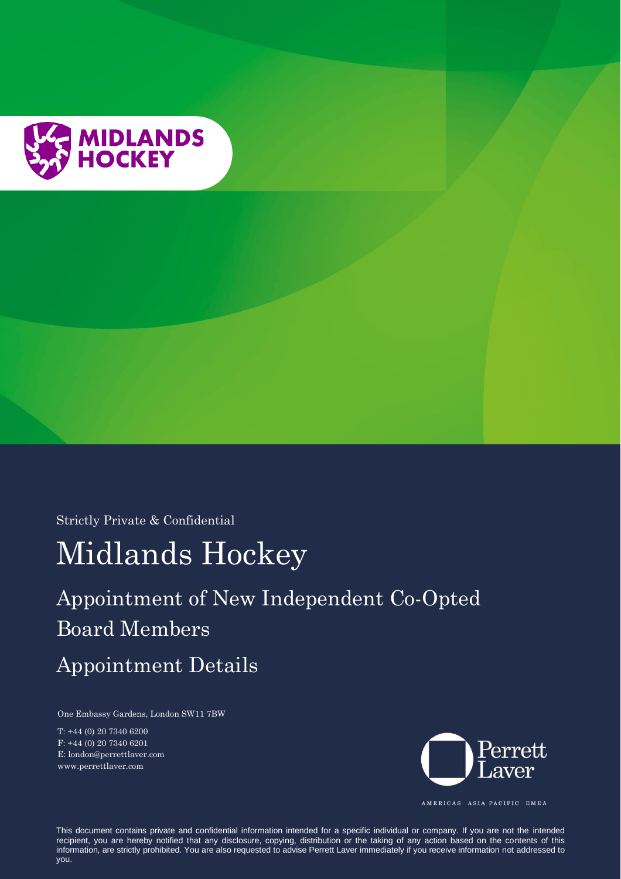

Strictly Private & Confidential

# Midlands Hockey

# Appointment of New Independent Co-Opted Board Members

# Appointment Details

One Embassy Gardens, London SW11 7BW

T: +44 (0) 20 7340 6200 F: +44 (0) 20 7340 6201 E: london@perrettlaver.com www.perrettlaver.com



AMERICAS ASIA PACIFIC EMEA

This document contains private and confidential information intended for a specific individual or company. If you are not the intended recipient, you are hereby notified that any disclosure, copying, distribution or the taking of any action based on the contents of this information, are strictly prohibited. You are also requested to advise Perrett Laver immediately if you receive information not addressed to you.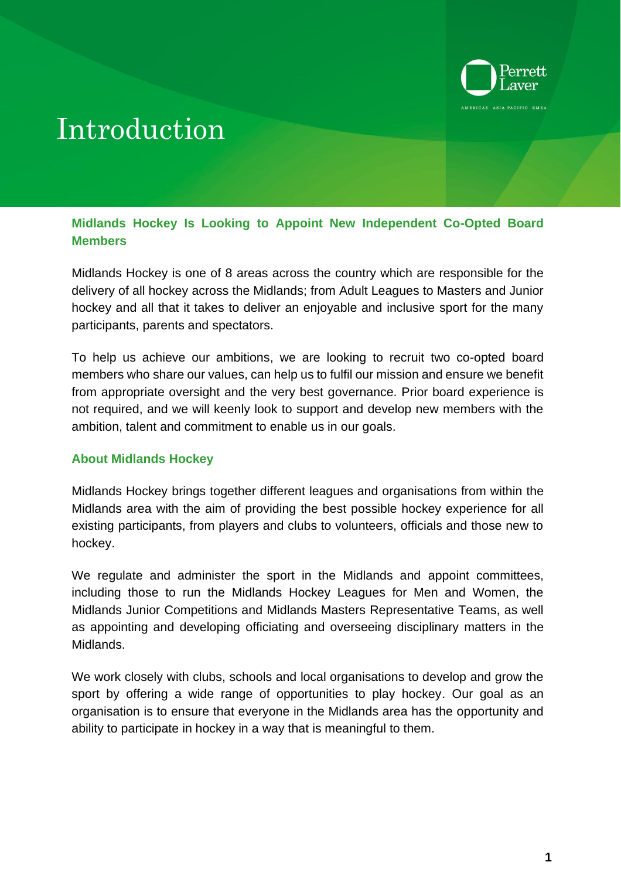

# Introduction

**Midlands Hockey Is Looking to Appoint New Independent Co-Opted Board Members**

Midlands Hockey is one of 8 areas across the country which are responsible for the delivery of all hockey across the Midlands; from Adult Leagues to Masters and Junior hockey and all that it takes to deliver an enjoyable and inclusive sport for the many participants, parents and spectators.

To help us achieve our ambitions, we are looking to recruit two co-opted board members who share our values, can help us to fulfil our mission and ensure we benefit from appropriate oversight and the very best governance. Prior board experience is not required, and we will keenly look to support and develop new members with the ambition, talent and commitment to enable us in our goals.

# **About Midlands Hockey**

Midlands Hockey brings together different leagues and organisations from within the Midlands area with the aim of providing the best possible hockey experience for all existing participants, from players and clubs to volunteers, officials and those new to hockey.

We regulate and administer the sport in the Midlands and appoint committees, including those to run the Midlands Hockey Leagues for Men and Women, the Midlands Junior Competitions and Midlands Masters Representative Teams, as well as appointing and developing officiating and overseeing disciplinary matters in the Midlands.

We work closely with clubs, schools and local organisations to develop and grow the sport by offering a wide range of opportunities to play hockey. Our goal as an organisation is to ensure that everyone in the Midlands area has the opportunity and ability to participate in hockey in a way that is meaningful to them.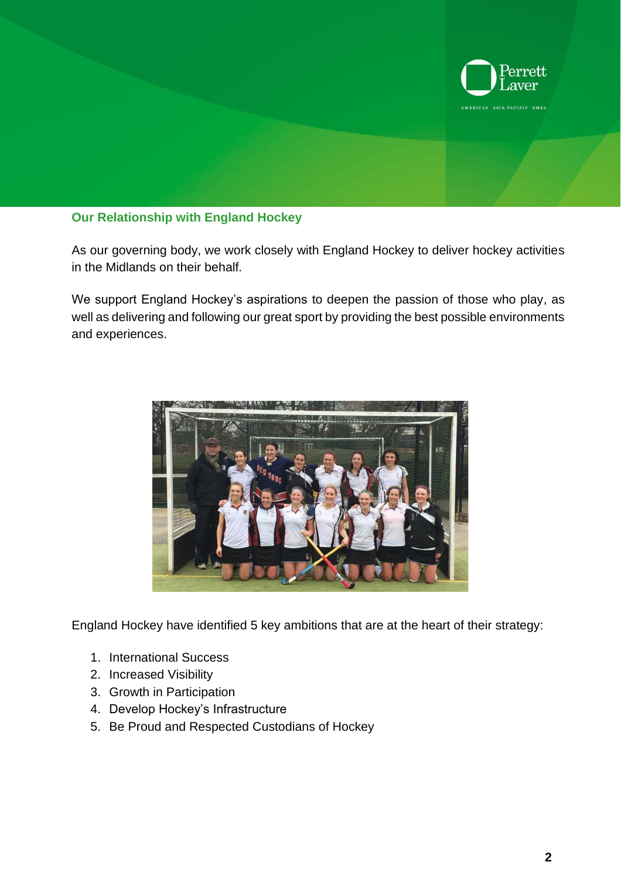

### **Our Relationship with England Hockey**

As our governing body, we work closely with England Hockey to deliver hockey activities in the Midlands on their behalf.

We support England Hockey's aspirations to deepen the passion of those who play, as well as delivering and following our great sport by providing the best possible environments and experiences.

![](_page_2_Picture_4.jpeg)

England Hockey have identified 5 key ambitions that are at the heart of their strategy:

- 1. International Success
- 2. Increased Visibility
- 3. Growth in Participation
- 4. Develop Hockey's Infrastructure
- 5. Be Proud and Respected Custodians of Hockey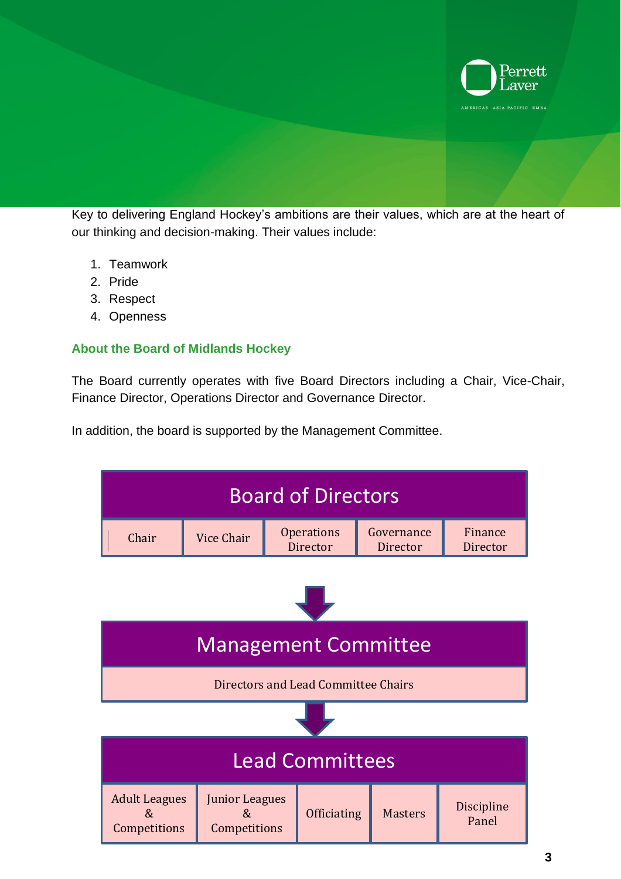![](_page_3_Picture_0.jpeg)

Key to delivering England Hockey's ambitions are their values, which are at the heart of our thinking and decision-making. Their values include:

- 1. Teamwork
- 2. Pride
- 3. Respect
- 4. Openness

#### **About the Board of Midlands Hockey**

The Board currently operates with five Board Directors including a Chair, Vice-Chair, Finance Director, Operations Director and Governance Director.

In addition, the board is supported by the Management Committee.

![](_page_3_Figure_9.jpeg)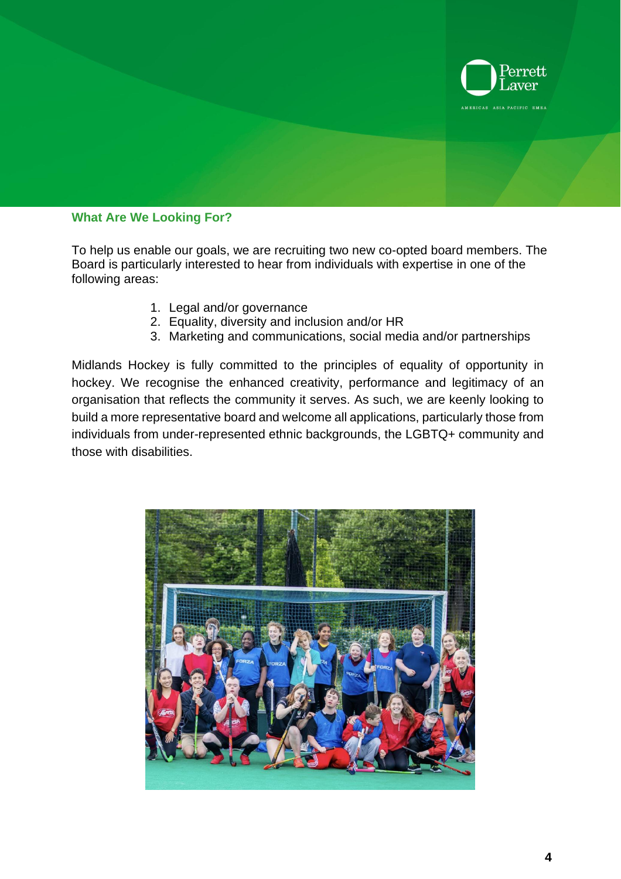![](_page_4_Picture_0.jpeg)

#### **What Are We Looking For?**

To help us enable our goals, we are recruiting two new co-opted board members. The Board is particularly interested to hear from individuals with expertise in one of the following areas:

- 1. Legal and/or governance
- 2. Equality, diversity and inclusion and/or HR
- 3. Marketing and communications, social media and/or partnerships

Midlands Hockey is fully committed to the principles of equality of opportunity in hockey. We recognise the enhanced creativity, performance and legitimacy of an organisation that reflects the community it serves. As such, we are keenly looking to build a more representative board and welcome all applications, particularly those from individuals from under-represented ethnic backgrounds, the LGBTQ+ community and those with disabilities.

![](_page_4_Picture_7.jpeg)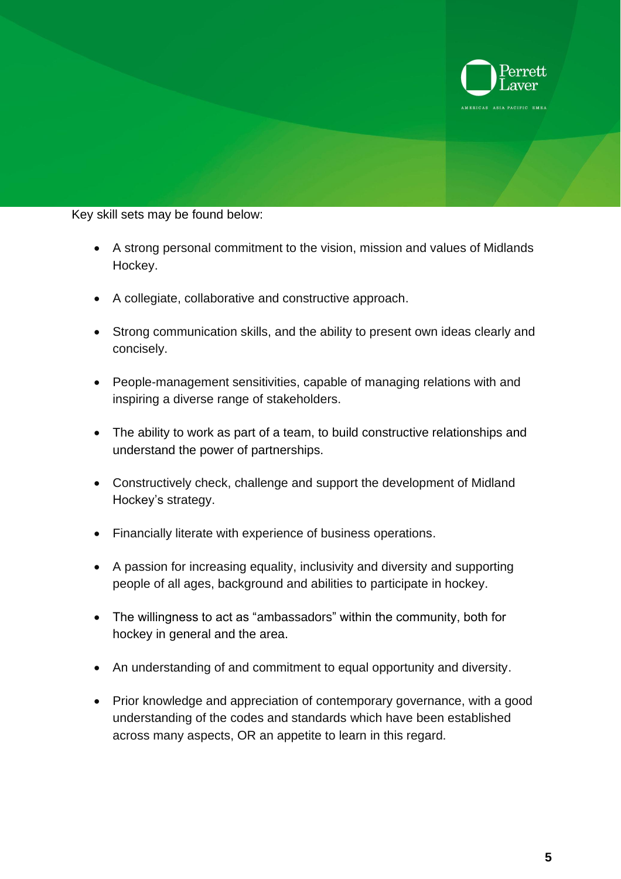![](_page_5_Picture_0.jpeg)

### Key skill sets may be found below:

- A strong personal commitment to the vision, mission and values of Midlands Hockey.
- A collegiate, collaborative and constructive approach.
- Strong communication skills, and the ability to present own ideas clearly and concisely.
- People-management sensitivities, capable of managing relations with and inspiring a diverse range of stakeholders.
- The ability to work as part of a team, to build constructive relationships and understand the power of partnerships.
- Constructively check, challenge and support the development of Midland Hockey's strategy.
- Financially literate with experience of business operations.
- A passion for increasing equality, inclusivity and diversity and supporting people of all ages, background and abilities to participate in hockey.
- The willingness to act as "ambassadors" within the community, both for hockey in general and the area.
- An understanding of and commitment to equal opportunity and diversity.
- Prior knowledge and appreciation of contemporary governance, with a good understanding of the codes and standards which have been established across many aspects, OR an appetite to learn in this regard.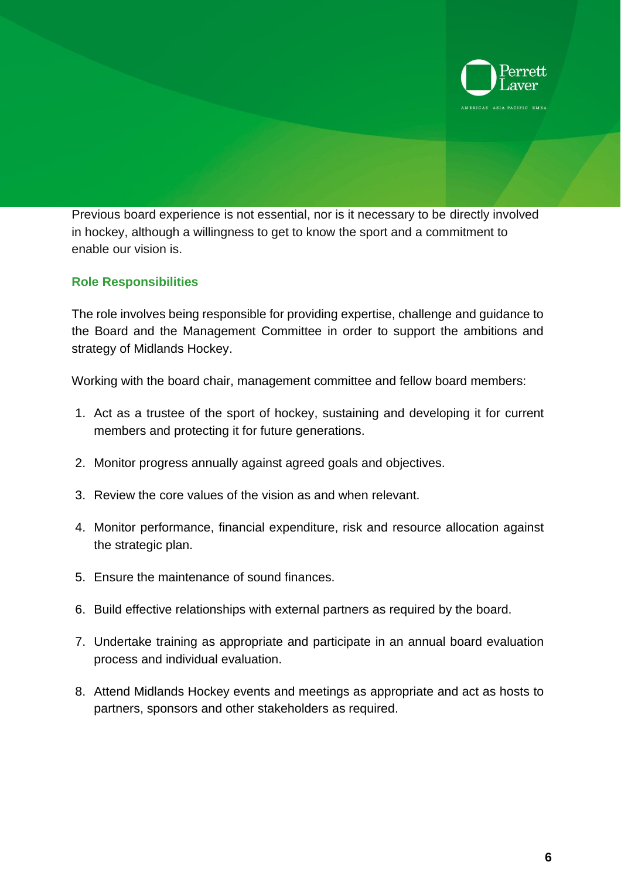![](_page_6_Picture_0.jpeg)

Previous board experience is not essential, nor is it necessary to be directly involved in hockey, although a willingness to get to know the sport and a commitment to enable our vision is.

# **Role Responsibilities**

The role involves being responsible for providing expertise, challenge and guidance to the Board and the Management Committee in order to support the ambitions and strategy of Midlands Hockey.

Working with the board chair, management committee and fellow board members:

- 1. Act as a trustee of the sport of hockey, sustaining and developing it for current members and protecting it for future generations.
- 2. Monitor progress annually against agreed goals and objectives.
- 3. Review the core values of the vision as and when relevant.
- 4. Monitor performance, financial expenditure, risk and resource allocation against the strategic plan.
- 5. Ensure the maintenance of sound finances.
- 6. Build effective relationships with external partners as required by the board.
- 7. Undertake training as appropriate and participate in an annual board evaluation process and individual evaluation.
- 8. Attend Midlands Hockey events and meetings as appropriate and act as hosts to partners, sponsors and other stakeholders as required.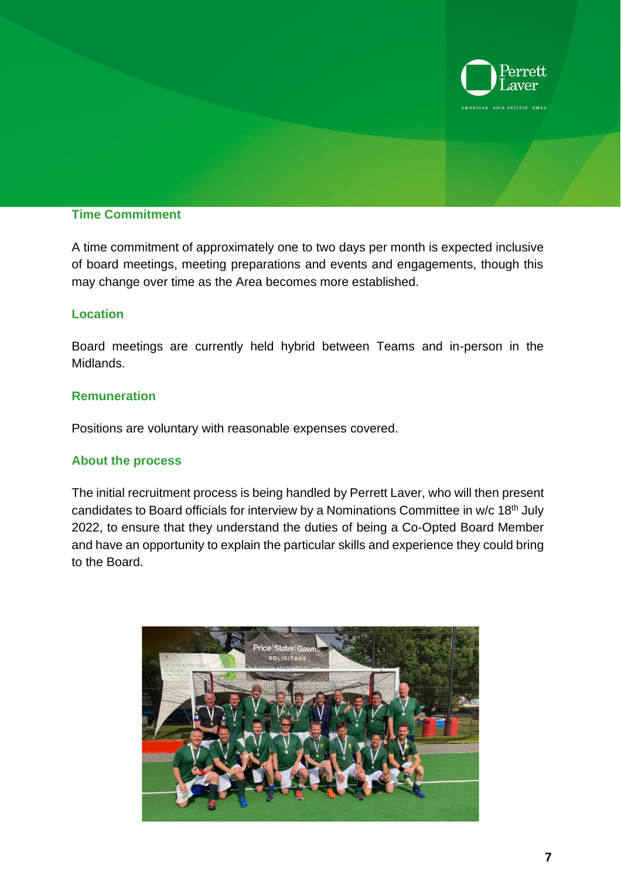![](_page_7_Picture_0.jpeg)

# **Time Commitment**

A time commitment of approximately one to two days per month is expected inclusive of board meetings, meeting preparations and events and engagements, though this may change over time as the Area becomes more established.

### **Location**

Board meetings are currently held hybrid between Teams and in-person in the Midlands.

# **Remuneration**

Positions are voluntary with reasonable expenses covered.

### **About the process**

The initial recruitment process is being handled by Perrett Laver, who will then present candidates to Board officials for interview by a Nominations Committee in w/c 18<sup>th</sup> July 2022, to ensure that they understand the duties of being a Co-Opted Board Member and have an opportunity to explain the particular skills and experience they could bring to the Board.

![](_page_7_Picture_9.jpeg)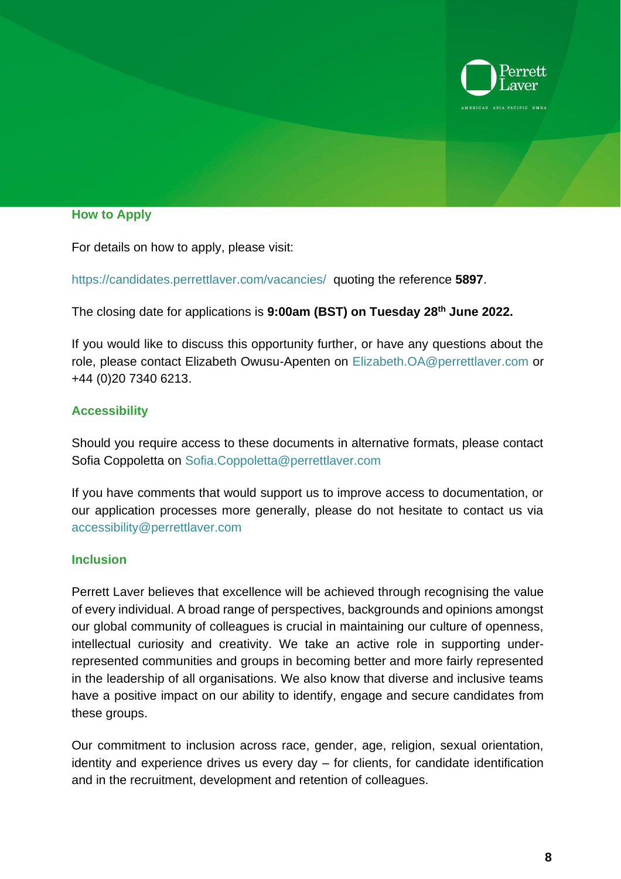![](_page_8_Picture_0.jpeg)

#### **How to Apply**

For details on how to apply, please visit:

<https://candidates.perrettlaver.com/vacancies/>quoting the reference **5897**.

The closing date for applications is **9:00am (BST) on Tuesday 28th June 2022.** 

If you would like to discuss this opportunity further, or have any questions about the role, please contact Elizabeth Owusu-Apenten on [Elizabeth.OA@perrettlaver.com](mailto:Elizabeth.OA@perrettlaver.com) or +44 (0)20 7340 6213.

# **Accessibility**

Should you require access to these documents in alternative formats, please contact Sofia Coppoletta on [Sofia.Coppoletta@perrettlaver.com](mailto:Sofia.Coppoletta@perrettlaver.com)

If you have comments that would support us to improve access to documentation, or our application processes more generally, please do not hesitate to contact us via [accessibility@perrettlaver.com](mailto:accessibility@perrettlaver.com) 

### **Inclusion**

Perrett Laver believes that excellence will be achieved through recognising the value of every individual. A broad range of perspectives, backgrounds and opinions amongst our global community of colleagues is crucial in maintaining our culture of openness, intellectual curiosity and creativity. We take an active role in supporting underrepresented communities and groups in becoming better and more fairly represented in the leadership of all organisations. We also know that diverse and inclusive teams have a positive impact on our ability to identify, engage and secure candidates from these groups.

Our commitment to inclusion across race, gender, age, religion, sexual orientation, identity and experience drives us every day – for clients, for candidate identification and in the recruitment, development and retention of colleagues.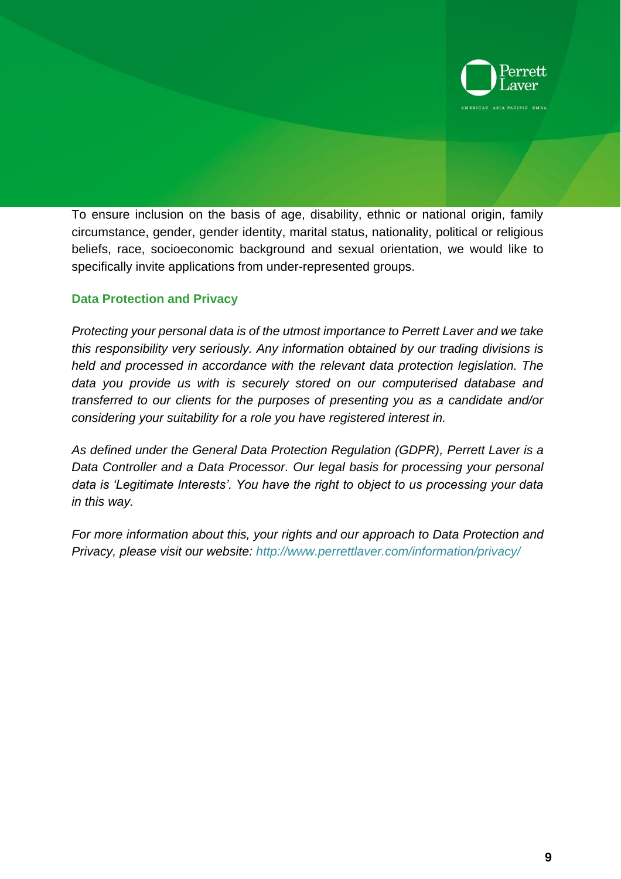![](_page_9_Picture_0.jpeg)

To ensure inclusion on the basis of age, disability, ethnic or national origin, family circumstance, gender, gender identity, marital status, nationality, political or religious beliefs, race, socioeconomic background and sexual orientation, we would like to specifically invite applications from under-represented groups.

# **Data Protection and Privacy**

*Protecting your personal data is of the utmost importance to Perrett Laver and we take this responsibility very seriously. Any information obtained by our trading divisions is held and processed in accordance with the relevant data protection legislation. The data you provide us with is securely stored on our computerised database and transferred to our clients for the purposes of presenting you as a candidate and/or considering your suitability for a role you have registered interest in.*

*As defined under the General Data Protection Regulation (GDPR), Perrett Laver is a Data Controller and a Data Processor. Our legal basis for processing your personal data is 'Legitimate Interests'. You have the right to object to us processing your data in this way.* 

*For more information about this, your rights and our approach to Data Protection and Privacy, please visit our website: <http://www.perrettlaver.com/information/privacy/>*